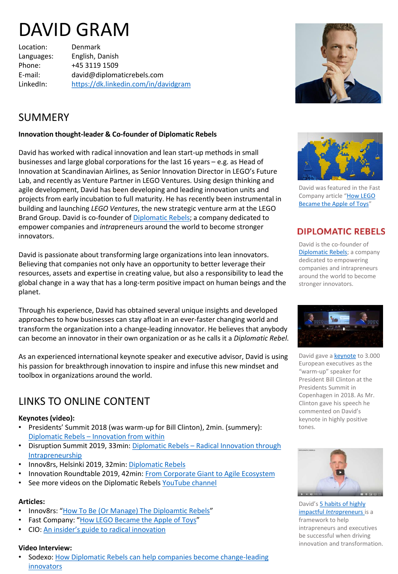# DAVID GRAM

Location: Denmark

Languages: English, Danish Phone: +45 3119 1509 E-mail: david@diplomaticrebels.com LinkedIn: <https://dk.linkedin.com/in/davidgram>



## SUMMERY

#### **Innovation thought-leader & Co-founder of Diplomatic Rebels**

David has worked with radical innovation and lean start-up methods in small businesses and large global corporations for the last 16 years – e.g. as Head of Innovation at Scandinavian Airlines, as Senior Innovation Director in LEGO's Future Lab, and recently as Venture Partner in LEGO Ventures. Using design thinking and agile development, David has been developing and leading innovation units and projects from early incubation to full maturity. He has recently been instrumental in building and launching *LEGO Ventures*, the new strategic venture arm at the LEGO Brand Group. David is co-founder of [Diplomatic Rebels;](http://www.diplomaticrebels.com/) a company dedicated to empower companies and *intra*preneurs around the world to become stronger innovators.

David is passionate about transforming large organizations into lean innovators. Believing that companies not only have an opportunity to better leverage their resources, assets and expertise in creating value, but also a responsibility to lead the global change in a way that has a long-term positive impact on human beings and the planet.

Through his experience, David has obtained several unique insights and developed approaches to how businesses can stay afloat in an ever-faster changing world and transform the organization into a change-leading innovator. He believes that anybody can become an innovator in their own organization or as he calls it a *Diplomatic Rebel*.

As an experienced international keynote speaker and executive advisor, David is using his passion for breakthrough innovation to inspire and infuse this new mindset and toolbox in organizations around the world.

## LINKS TO ONLINE CONTENT

#### **Keynotes (video):**

- Presidents' Summit 2018 (was warm-up for Bill Clinton), 2min. (summery): Diplomatic Rebels – [Innovation from within](https://youtu.be/Id0738kW8U0)
- [Disruption Summit 2019, 33min: Diplomatic Rebels](https://youtu.be/ONeAQa6CScE)  Radical Innovation through Intrapreneurship
- Innov8rs, Helsinki 2019, 32min: [Diplomatic Rebels](https://youtu.be/G7XNUAR2DA8)
- Innovation Roundtable 2019, 42min: [From Corporate Giant to Agile Ecosystem](https://youtu.be/JrEDaO6l2Bg)
- See more videos on the Diplomatic Rebels [YouTube channel](https://www.youtube.com/channel/UCrM3mZL1vwhtLCon12uAgPg)

#### **Articles:**

- Innov8rs: "[How To Be \(Or Manage\) The Diploamtic](https://innov8rs.co/news/how-to-be-or-manage-the-diplomatic-rebel/) Rebels"
- Fast Company: "[How LEGO Became the Apple of Toys](https://www.fastcompany.com/3040223/when-it-clicks-it-clicks)"
- CIO: [An insider's guide to radical innovation](https://www.cio.co.nz/article/620835/david-gram-lego-an-insider-guide-radical-innovation/)

#### **Video Interview:**

• [Sodexo: How Diplomatic Rebels can help companies become change-leading](https://www.qualityoflifeconference.com/home/interview-david-gram.html)  innovators



David was featured in the Fast Company article "How LEGO [Became the Apple of Toys](https://www.fastcompany.com/3040223/when-it-clicks-it-clicks)"

### **DIPLOMATIC REBELS**

David is the co-founder of [Diplomatic Rebels](https://www.diplomaticrebels.com/); a company dedicated to empowering companies and intrapreneurs around the world to become stronger innovators.



David gave a **[keynote](https://youtu.be/Id0738kW8U0)** to 3.000 European executives as the "warm-up" speaker for President Bill Clinton at the Presidents Summit in Copenhagen in 2018. As Mr. Clinton gave his speech he commented on David's keynote in highly positive tones.



David's [5 habits of highly](https://youtu.be/8I9Uh2HiM3o) impactful *Intra*preneurs is a framework to help intrapreneurs and executives be successful when driving innovation and transformation.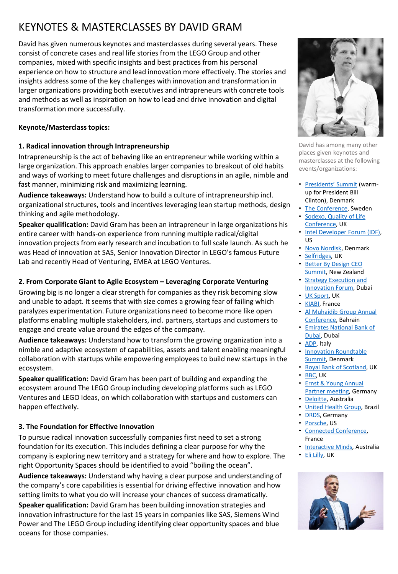## KEYNOTES & MASTERCLASSES BY DAVID GRAM

David has given numerous keynotes and masterclasses during several years. These consist of concrete cases and real life stories from the LEGO Group and other companies, mixed with specific insights and best practices from his personal experience on how to structure and lead innovation more effectively. The stories and insights address some of the key challenges with innovation and transformation in larger organizations providing both executives and intrapreneurs with concrete tools and methods as well as inspiration on how to lead and drive innovation and digital transformation more successfully.

#### **Keynote/Masterclass topics:**

#### **1. Radical innovation through Intrapreneurship**

Intrapreneurship is the act of behaving like an entrepreneur while working within a large organization. This approach enables larger companies to breakout of old habits and ways of working to meet future challenges and disruptions in an agile, nimble and fast manner, minimizing risk and maximizing learning.

**Audience takeaways:** Understand how to build a culture of intrapreneurship incl. organizational structures, tools and incentives leveraging lean startup methods, design thinking and agile methodology.

**Speaker qualification:** David Gram has been an intrapreneur in large organizations his entire career with hands-on experience from running multiple radical/digital innovation projects from early research and incubation to full scale launch. As such he was Head of innovation at SAS, Senior Innovation Director in LEGO's famous Future Lab and recently Head of Venturing, EMEA at LEGO Ventures.

#### **2. From Corporate Giant to Agile Ecosystem – Leveraging Corporate Venturing**

Growing big is no longer a clear strength for companies as they risk becoming slow and unable to adapt. It seems that with size comes a growing fear of failing which paralyzes experimentation. Future organizations need to become more like open platforms enabling multiple stakeholders, incl. partners, startups and customers to engage and create value around the edges of the company.

**Audience takeaways:** Understand how to transform the growing organization into a nimble and adaptive ecosystem of capabilities, assets and talent enabling meaningful collaboration with startups while empowering employees to build new startups in the ecosystem.

**Speaker qualification:** David Gram has been part of building and expanding the ecosystem around The LEGO Group including developing platforms such as LEGO Ventures and LEGO Ideas, on which collaboration with startups and customers can happen effectively.

#### **3. The Foundation for Effective Innovation**

To pursue radical innovation successfully companies first need to set a strong foundation for its execution. This includes defining a clear purpose for why the company is exploring new territory and a strategy for where and how to explore. The right Opportunity Spaces should be identified to avoid "boiling the ocean".

**Audience takeaways:** Understand why having a clear purpose and understanding of the company's core capabilities is essential for driving effective innovation and how setting limits to what you do will increase your chances of success dramatically.

**Speaker qualification:** David Gram has been building innovation strategies and innovation infrastructure for the last 15 years in companies like SAS, Siemens Wind Power and The LEGO Group including identifying clear opportunity spaces and blue oceans for those companies.



David has among many other places given keynotes and masterclasses at the following events/organizations:

- [Presidents' Summit](https://www.presidents-summit.com/) (warmup for President Bill Clinton), Denmark
- [The Conference,](http://2019.theconference.se/) Sweden
- [Sodexo, Quality of Life](https://www.qualityoflifeconference.com/home.html) Conference, UK
- [Intel Developer Forum \(IDF\)](https://newsroom.intel.com/press-kits/2016-idf/#gs.dttfnw), US
- [Novo Nordisk,](https://www.novonordisk.com/) Denmark
- [Selfridges,](https://www.selfridges.com/GB/en/?&cm_mmc=PPC-_-INTBR-_-DK-_-selfridges&gclid=EAIaIQobChMI5JK0rdqx4gIVheR3Ch2HCwIQEAAYASAAEgI54vD_BwE&gclsrc=aw.ds) UK
- Better By Design CEO [Summit, New Zealand](https://ceosummit.betterbydesign.org.nz/)
- [Strategy Execution and](https://marketing.knect365.com/strategy-execution-uae/)  Innovation Forum, Dubai
- [UK Sport](https://www.uksport.gov.uk/), UK
- [KIABI,](https://www.kiabishop.com/en/) France
- Al Muhaidib Group Annual [Conference, Bahrain](http://www.muhaidib.com/)
- [Emirates National Bank of](https://www.emiratesnbd.com/en/)  Dubai, Dubai
- [ADP,](https://www.adp.com/) Italy
- [Innovation Roundtable](https://innovationroundtable.com/summit/)  Summit, Denmark
- [Royal Bank of Scotland](https://www.rbs.com/), UK
- [BBC,](https://www.bbc.com/) UK
- Ernst & Young Annual **[Partner meeting, Germ](https://www.ey.com/en_us)any**
- [Deloitte,](https://www2.deloitte.com/au/en.html?icid=site_selector_au) Australia
- [United Health Group](https://www.unitedhealthgroup.com/), Brazil
- [DRDS](http://drdscon.com/?page_id=1719), Germany
- [Porsche](https://www.porsche.com/usa/), US
- [Connected Conference,](http://connectedconference.co/speakers/) France
- [Interactive Minds](https://www.interactiveminds.com/), Australia
- [Eli Lilly,](https://www.lilly.com/) UK